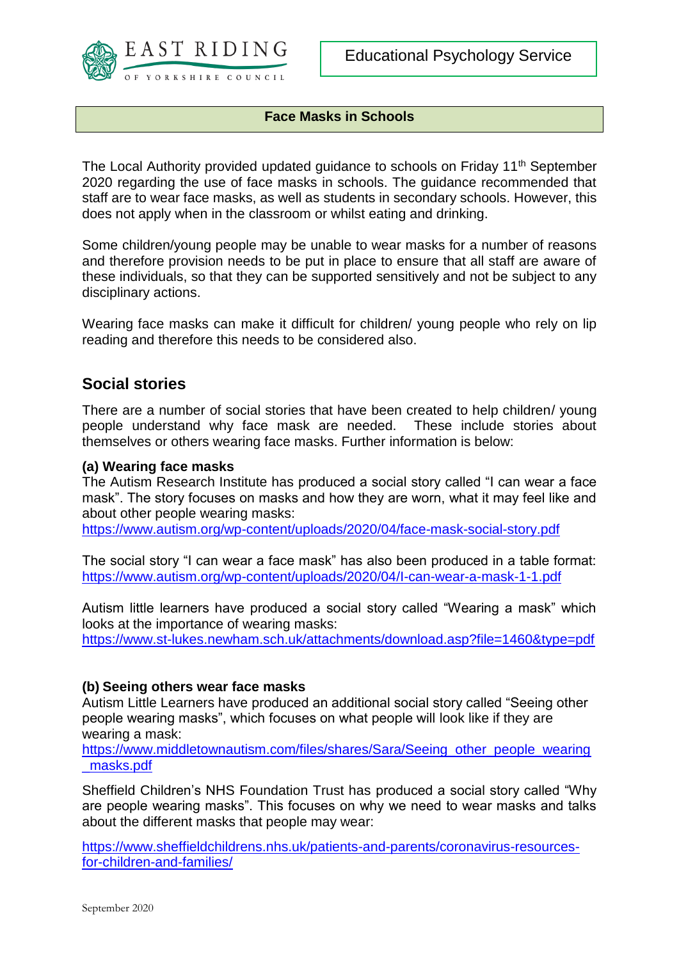

#### **Face Masks in Schools**

The Local Authority provided updated guidance to schools on Friday 11<sup>th</sup> September 2020 regarding the use of face masks in schools. The guidance recommended that staff are to wear face masks, as well as students in secondary schools. However, this does not apply when in the classroom or whilst eating and drinking.

Some children/young people may be unable to wear masks for a number of reasons and therefore provision needs to be put in place to ensure that all staff are aware of these individuals, so that they can be supported sensitively and not be subject to any disciplinary actions.

Wearing face masks can make it difficult for children/ young people who rely on lip reading and therefore this needs to be considered also.

## **Social stories**

There are a number of social stories that have been created to help children/ young people understand why face mask are needed. These include stories about themselves or others wearing face masks. Further information is below:

#### **(a) Wearing face masks**

The Autism Research Institute has produced a social story called "I can wear a face mask". The story focuses on masks and how they are worn, what it may feel like and about other people wearing masks:

<https://www.autism.org/wp-content/uploads/2020/04/face-mask-social-story.pdf>

The social story "I can wear a face mask" has also been produced in a table format: <https://www.autism.org/wp-content/uploads/2020/04/I-can-wear-a-mask-1-1.pdf>

Autism little learners have produced a social story called "Wearing a mask" which looks at the importance of wearing masks:

<https://www.st-lukes.newham.sch.uk/attachments/download.asp?file=1460&type=pdf>

#### **(b) Seeing others wear face masks**

Autism Little Learners have produced an additional social story called "Seeing other people wearing masks", which focuses on what people will look like if they are wearing a mask:

[https://www.middletownautism.com/files/shares/Sara/Seeing\\_other\\_people\\_wearing](https://www.middletownautism.com/files/shares/Sara/Seeing_other_people_wearing_masks.pdf) [\\_masks.pdf](https://www.middletownautism.com/files/shares/Sara/Seeing_other_people_wearing_masks.pdf)

Sheffield Children's NHS Foundation Trust has produced a social story called "Why are people wearing masks". This focuses on why we need to wear masks and talks about the different masks that people may wear:

[https://www.sheffieldchildrens.nhs.uk/patients-and-parents/coronavirus-resources](https://www.sheffieldchildrens.nhs.uk/patients-and-parents/coronavirus-resources-for-children-and-families/)[for-children-and-families/](https://www.sheffieldchildrens.nhs.uk/patients-and-parents/coronavirus-resources-for-children-and-families/)